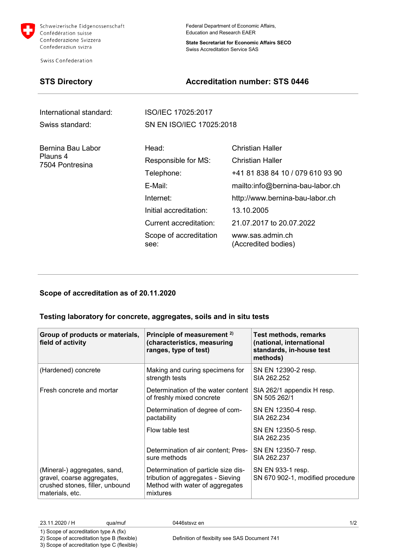

Schweizerische Eidgenossenschaft Confédération suisse Confederazione Svizzera Confederaziun svizra

Swiss Confederation

Federal Department of Economic Affairs, Education and Research EAER

**State Secretariat for Economic Affairs SECO** Swiss Accreditation Service SAS

## **STS Directory Accreditation number: STS 0446**

| International standard:                          | ISO/IEC 17025:2017             |                                         |  |
|--------------------------------------------------|--------------------------------|-----------------------------------------|--|
| Swiss standard:                                  | SN EN ISO/IEC 17025:2018       |                                         |  |
| Bernina Bau Labor<br>Plauns 4<br>7504 Pontresina | Head:                          | Christian Haller                        |  |
|                                                  | Responsible for MS:            | Christian Haller                        |  |
|                                                  | Telephone:                     | +41 81 838 84 10 / 079 610 93 90        |  |
|                                                  | E-Mail:                        | mailto:info@bernina-bau-labor.ch        |  |
|                                                  | Internet:                      | http://www.bernina-bau-labor.ch         |  |
|                                                  | Initial accreditation:         | 13.10.2005                              |  |
|                                                  | Current accreditation:         | 21.07.2017 to 20.07.2022                |  |
|                                                  | Scope of accreditation<br>see: | www.sas.admin.ch<br>(Accredited bodies) |  |

## **Scope of accreditation as of 20.11.2020**

### **Testing laboratory for concrete, aggregates, soils and in situ tests**

| Group of products or materials,<br>field of activity                                                             | Principle of measurement <sup>2)</sup><br>(characteristics, measuring<br>ranges, type of test)                          | <b>Test methods, remarks</b><br>(national, international<br>standards, in-house test<br>methods) |
|------------------------------------------------------------------------------------------------------------------|-------------------------------------------------------------------------------------------------------------------------|--------------------------------------------------------------------------------------------------|
| (Hardened) concrete                                                                                              | Making and curing specimens for<br>strength tests                                                                       | SN EN 12390-2 resp.<br>SIA 262.252                                                               |
| Fresh concrete and mortar                                                                                        | Determination of the water content<br>of freshly mixed concrete                                                         | SIA 262/1 appendix H resp.<br>SN 505 262/1                                                       |
|                                                                                                                  | Determination of degree of com-<br>pactability                                                                          | SN EN 12350-4 resp.<br>SIA 262.234                                                               |
|                                                                                                                  | Flow table test                                                                                                         | SN EN 12350-5 resp.<br>SIA 262.235                                                               |
|                                                                                                                  | Determination of air content; Pres-<br>sure methods                                                                     | SN EN 12350-7 resp.<br>SIA 262.237                                                               |
| (Mineral-) aggregates, sand,<br>gravel, coarse aggregates,<br>crushed stones, filler, unbound<br>materials, etc. | Determination of particle size dis-<br>tribution of aggregates - Sieving<br>Method with water of aggregates<br>mixtures | SN EN 933-1 resp.<br>SN 670 902-1, modified procedure                                            |